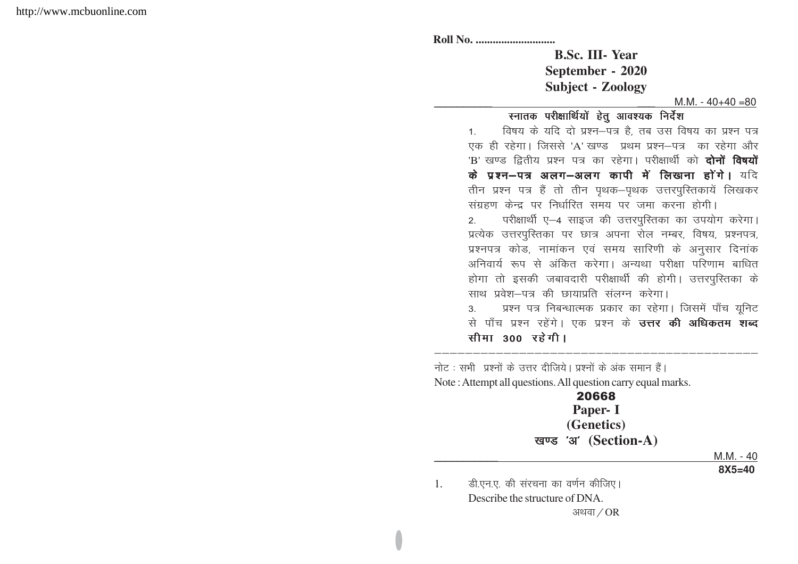|    | <b>B.Sc. III-Year</b>                                                      |
|----|----------------------------------------------------------------------------|
|    | September - 2020                                                           |
|    | <b>Subject - Zoology</b>                                                   |
|    | $M.M. - 40+40=80$                                                          |
|    | स्नातक परीक्षार्थियों हेतु आवश्यक निर्देश                                  |
|    | विषय के यदि दो प्रश्न-पत्र है, तब उस विषय का प्रश्न पत्र<br>1 <sup>1</sup> |
|    | एक ही रहेगा। जिससे 'A' खण्ड प्रथम प्रश्न–पत्र का रहेगा और                  |
|    | 'B' खण्ड द्वितीय प्रश्न पत्र का रहेगा। परीक्षार्थी को <b>दोनों विषयों</b>  |
|    | के प्रश्न-पत्र अलग-अलग कापी में लिखना होंगे। यदि                           |
|    | तीन प्रश्न पत्र हैं तो तीन पृथक–पृथक उत्तरपुस्तिकायें लिखकर                |
|    | संग्रहण केन्द्र पर निर्धारित समय पर जमा करना होगी।                         |
|    | परीक्षार्थी ए-4 साइज की उत्तरपुस्तिका का उपयोग करेगा।<br>2.                |
|    | प्रत्येक उत्तरपुस्तिका पर छात्र अपना रोल नम्बर, विषय, प्रश्नपत्र,          |
|    | प्रश्नपत्र कोड, नामांकन एवं समय सारिणी के अनुसार दिनांक                    |
|    | अनिवार्य रूप से अंकित करेगा। अन्यथा परीक्षा परिणाम बाधित                   |
|    | होगा तो इसकी जबावदारी परीक्षार्थी की होगी। उत्तरपुस्तिका के                |
|    | साथ प्रवेश-पत्र की छायाप्रति संलग्न करेगा।                                 |
|    | प्रश्न पत्र निबन्धात्मक प्रकार का रहेगा। जिसमें पाँच यूनिट<br>3.           |
|    | से पाँच प्रश्न रहेंगे। एक प्रश्न के <b>उत्तर की अधिकतम शब्द</b>            |
|    | सीमा 300 रहेगी।                                                            |
|    |                                                                            |
|    | नोट : सभी प्रश्नों के उत्तर दीजिये। प्रश्नों के अंक समान हैं।              |
|    | Note: Attempt all questions. All question carry equal marks.               |
|    | 20668                                                                      |
|    | Paper- I                                                                   |
|    | (Genetics)                                                                 |
|    | खण्ड 'अ' (Section-A)                                                       |
|    | <u>M.M. - 40</u>                                                           |
|    | $8X5 = 40$                                                                 |
|    |                                                                            |
| 1. | डी.एन.ए. की संरचना का वर्णन कीजिए।                                         |
|    | Describe the structure of DNA.<br>अथवा $/$ OR                              |